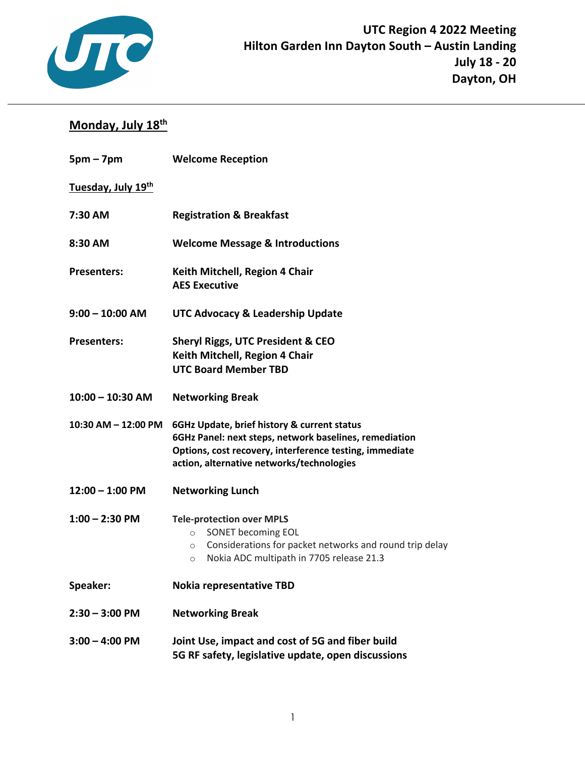

## **Monday, July 18th**

| $5pm - 7pm$                    | <b>Welcome Reception</b>                                                                                                                                                                                      |  |
|--------------------------------|---------------------------------------------------------------------------------------------------------------------------------------------------------------------------------------------------------------|--|
| Tuesday, July 19 <sup>th</sup> |                                                                                                                                                                                                               |  |
| 7:30 AM                        | <b>Registration &amp; Breakfast</b>                                                                                                                                                                           |  |
| 8:30 AM                        | <b>Welcome Message &amp; Introductions</b>                                                                                                                                                                    |  |
| <b>Presenters:</b>             | Keith Mitchell, Region 4 Chair<br><b>AES Executive</b>                                                                                                                                                        |  |
| 9:00 - 10:00 AM                | UTC Advocacy & Leadership Update                                                                                                                                                                              |  |
| <b>Presenters:</b>             | <b>Sheryl Riggs, UTC President &amp; CEO</b><br>Keith Mitchell, Region 4 Chair<br><b>UTC Board Member TBD</b>                                                                                                 |  |
| $10:00 - 10:30$ AM             | <b>Networking Break</b>                                                                                                                                                                                       |  |
| 10:30 AM - 12:00 PM            | 6GHz Update, brief history & current status<br>6GHz Panel: next steps, network baselines, remediation<br>Options, cost recovery, interference testing, immediate<br>action, alternative networks/technologies |  |
| $12:00 - 1:00$ PM              | <b>Networking Lunch</b>                                                                                                                                                                                       |  |
| $1:00 - 2:30$ PM               | <b>Tele-protection over MPLS</b><br>SONET becoming EOL<br>$\circ$<br>Considerations for packet networks and round trip delay<br>$\circ$<br>Nokia ADC multipath in 7705 release 21.3<br>$\circ$                |  |
| <b>Speaker:</b>                | <b>Nokia representative TBD</b>                                                                                                                                                                               |  |
| 2:30 - 3:00 PM                 | <b>Networking Break</b>                                                                                                                                                                                       |  |
| $3:00 - 4:00$ PM               | Joint Use, impact and cost of 5G and fiber build<br>5G RF safety, legislative update, open discussions                                                                                                        |  |